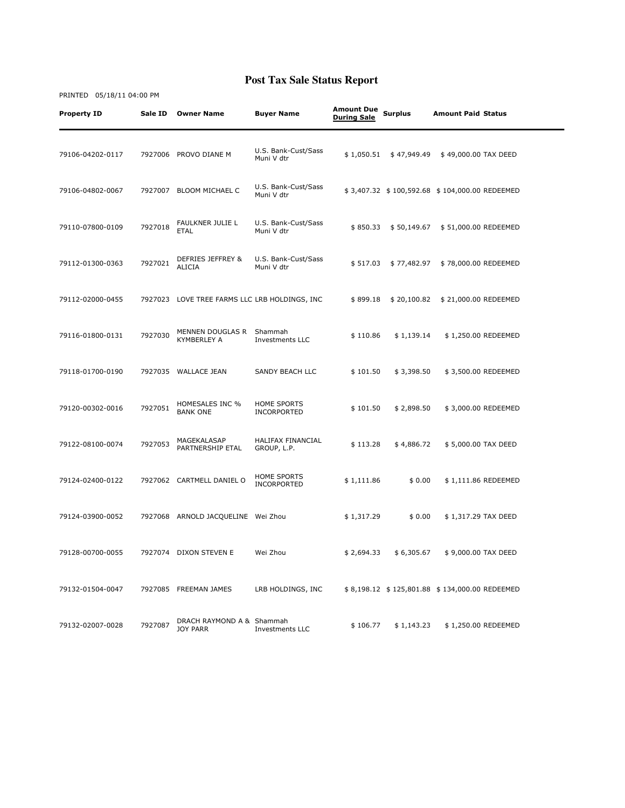| <b>Property ID</b> | Sale ID | <b>Owner Name</b>                             | <b>Buyer Name</b>                 | <b>Amount Due</b><br><b>During Sale</b> | <b>Surplus</b> | <b>Amount Paid Status</b>                     |  |
|--------------------|---------|-----------------------------------------------|-----------------------------------|-----------------------------------------|----------------|-----------------------------------------------|--|
| 79106-04202-0117   | 7927006 | PROVO DIANE M                                 | U.S. Bank-Cust/Sass<br>Muni V dtr | \$1,050.51                              | \$47,949.49    | \$49,000.00 TAX DEED                          |  |
| 79106-04802-0067   |         | 7927007 BLOOM MICHAEL C                       | U.S. Bank-Cust/Sass<br>Muni V dtr |                                         |                | \$3,407.32 \$100,592.68 \$104,000.00 REDEEMED |  |
| 79110-07800-0109   | 7927018 | FAULKNER JULIE L<br><b>ETAL</b>               | U.S. Bank-Cust/Sass<br>Muni V dtr | \$850.33                                | \$50,149.67    | \$51,000.00 REDEEMED                          |  |
| 79112-01300-0363   | 7927021 | DEFRIES JEFFREY &<br><b>ALICIA</b>            | U.S. Bank-Cust/Sass<br>Muni V dtr | \$517.03                                | \$77,482.97    | \$78,000.00 REDEEMED                          |  |
| 79112-02000-0455   |         | 7927023 LOVE TREE FARMS LLC LRB HOLDINGS, INC |                                   | \$899.18                                | \$20,100.82    | \$21,000.00 REDEEMED                          |  |
| 79116-01800-0131   | 7927030 | MENNEN DOUGLAS R<br><b>KYMBERLEY A</b>        | Shammah<br>Investments LLC        | \$110.86                                | \$1,139.14     | \$1,250.00 REDEEMED                           |  |
| 79118-01700-0190   |         | 7927035 WALLACE JEAN                          | SANDY BEACH LLC                   | \$101.50                                | \$3,398.50     | \$3,500.00 REDEEMED                           |  |
| 79120-00302-0016   | 7927051 | <b>HOMESALES INC %</b><br><b>BANK ONE</b>     | <b>HOME SPORTS</b><br>INCORPORTED | \$101.50                                | \$2,898.50     | \$3,000.00 REDEEMED                           |  |
| 79122-08100-0074   | 7927053 | MAGEKALASAP<br>PARTNERSHIP ETAL               | HALIFAX FINANCIAL<br>GROUP, L.P.  | \$113.28                                | \$4,886.72     | \$5,000.00 TAX DEED                           |  |
| 79124-02400-0122   |         | 7927062 CARTMELL DANIEL O                     | HOME SPORTS<br>INCORPORTED        | \$1,111.86                              | \$0.00         | \$1,111.86 REDEEMED                           |  |
| 79124-03900-0052   |         | 7927068 ARNOLD JACQUELINE Wei Zhou            |                                   | \$1,317.29                              | \$0.00         | \$1,317.29 TAX DEED                           |  |
| 79128-00700-0055   |         | 7927074 DIXON STEVEN E                        | Wei Zhou                          | \$2,694.33                              | \$6,305.67     | \$9,000.00 TAX DEED                           |  |
| 79132-01504-0047   |         | 7927085 FREEMAN JAMES                         | LRB HOLDINGS, INC                 |                                         |                | \$8,198.12 \$125,801.88 \$134,000.00 REDEEMED |  |
| 79132-02007-0028   | 7927087 | DRACH RAYMOND A & Shammah<br><b>JOY PARR</b>  | Investments LLC                   | \$106.77                                | \$1,143.23     | \$1,250.00 REDEEMED                           |  |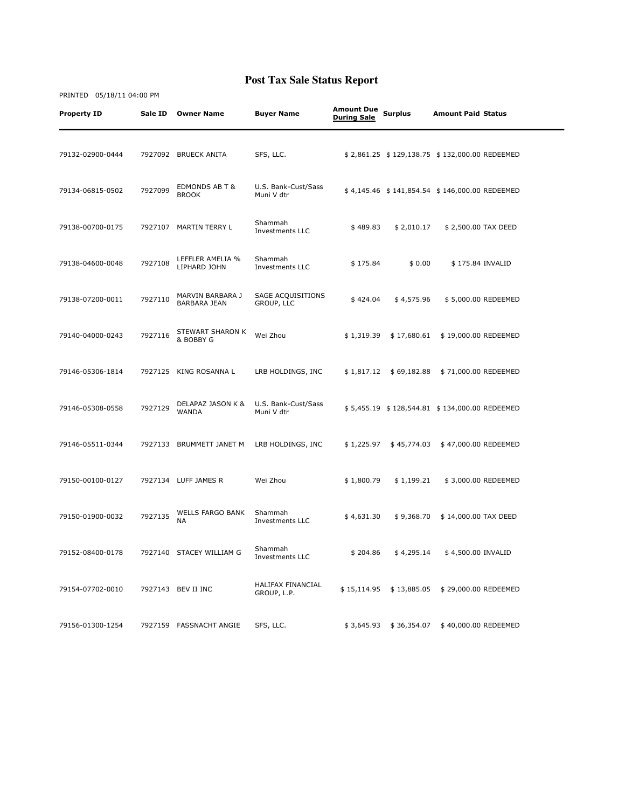| <b>Property ID</b> | Sale ID | <b>Owner Name</b>                       | <b>Buyer Name</b>                       | <b>Amount Due</b><br><b>During Sale</b> | <b>Surplus</b> | <b>Amount Paid Status</b>                     |  |
|--------------------|---------|-----------------------------------------|-----------------------------------------|-----------------------------------------|----------------|-----------------------------------------------|--|
| 79132-02900-0444   |         | 7927092 BRUECK ANITA                    | SFS, LLC.                               |                                         |                | \$2,861.25 \$129,138.75 \$132,000.00 REDEEMED |  |
| 79134-06815-0502   | 7927099 | EDMONDS AB T &<br><b>BROOK</b>          | U.S. Bank-Cust/Sass<br>Muni V dtr       |                                         |                | \$4,145.46 \$141,854.54 \$146,000.00 REDEEMED |  |
| 79138-00700-0175   |         | 7927107 MARTIN TERRY L                  | Shammah<br>Investments LLC              | \$489.83                                | \$2,010.17     | \$2,500.00 TAX DEED                           |  |
| 79138-04600-0048   | 7927108 | LEFFLER AMELIA %<br>LIPHARD JOHN        | Shammah<br>Investments LLC              | \$175.84                                | \$0.00         | \$175.84 INVALID                              |  |
| 79138-07200-0011   | 7927110 | MARVIN BARBARA J<br><b>BARBARA JEAN</b> | SAGE ACQUISITIONS<br>GROUP, LLC         | \$424.04                                | \$4,575.96     | \$5,000.00 REDEEMED                           |  |
| 79140-04000-0243   | 7927116 | STEWART SHARON K<br>& BOBBY G           | Wei Zhou                                | \$1,319.39                              | \$17,680.61    | \$19,000.00 REDEEMED                          |  |
| 79146-05306-1814   | 7927125 | KING ROSANNA L                          | LRB HOLDINGS, INC                       | \$1,817.12                              | \$69,182.88    | \$71,000.00 REDEEMED                          |  |
| 79146-05308-0558   | 7927129 | DELAPAZ JASON K &<br><b>WANDA</b>       | U.S. Bank-Cust/Sass<br>Muni V dtr       |                                         |                | \$5,455.19 \$128,544.81 \$134,000.00 REDEEMED |  |
| 79146-05511-0344   | 7927133 | BRUMMETT JANET M                        | LRB HOLDINGS, INC                       | \$1,225.97                              | \$45,774.03    | \$47,000.00 REDEEMED                          |  |
| 79150-00100-0127   |         | 7927134 LUFF JAMES R                    | Wei Zhou                                | \$1,800.79                              | \$1,199.21     | \$3,000.00 REDEEMED                           |  |
| 79150-01900-0032   | 7927135 | <b>WELLS FARGO BANK</b><br>NА           | Shammah<br>Investments LLC              | \$4,631.30                              | \$9,368.70     | \$14,000.00 TAX DEED                          |  |
| 79152-08400-0178   |         | 7927140 STACEY WILLIAM G                | Shammah<br>Investments LLC              | \$204.86                                | \$4,295.14     | \$4,500.00 INVALID                            |  |
| 79154-07702-0010   |         | 7927143 BEV II INC                      | <b>HALIFAX FINANCIAL</b><br>GROUP, L.P. | \$15,114.95                             | \$13,885.05    | \$29,000.00 REDEEMED                          |  |
| 79156-01300-1254   |         | 7927159 FASSNACHT ANGIE                 | SFS, LLC.                               | \$3,645.93                              | \$36,354.07    | \$40,000.00 REDEEMED                          |  |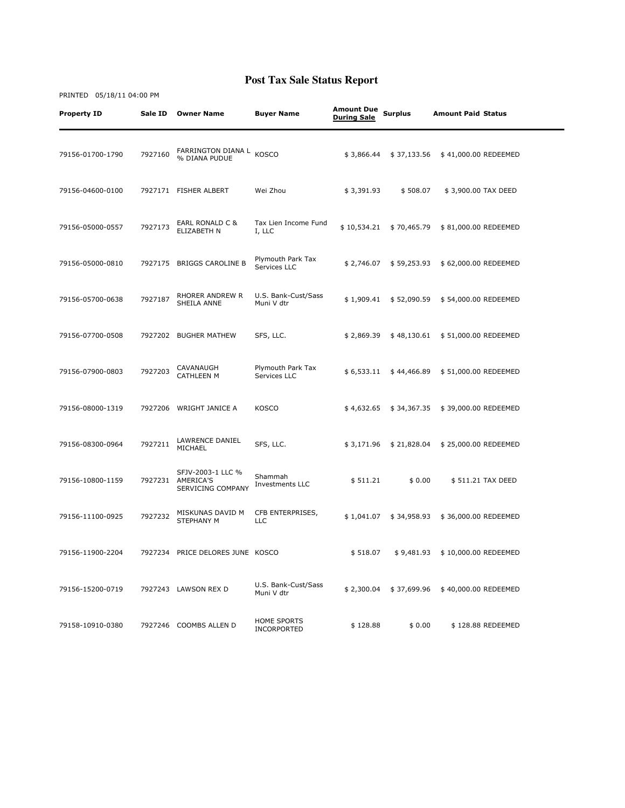| <b>Property ID</b> | Sale ID | <b>Owner Name</b>                                   | <b>Buyer Name</b>                 | <b>Amount Due</b><br><b>During Sale</b> | <b>Surplus</b> | <b>Amount Paid Status</b> |  |
|--------------------|---------|-----------------------------------------------------|-----------------------------------|-----------------------------------------|----------------|---------------------------|--|
| 79156-01700-1790   | 7927160 | FARRINGTON DIANA L<br>% DIANA PUDUE                 | <b>KOSCO</b>                      | \$3,866.44                              | \$37,133.56    | \$41,000.00 REDEEMED      |  |
| 79156-04600-0100   |         | 7927171 FISHER ALBERT                               | Wei Zhou                          | \$3,391.93                              | \$508.07       | \$3,900.00 TAX DEED       |  |
| 79156-05000-0557   | 7927173 | EARL RONALD C &<br>ELIZABETH N                      | Tax Lien Income Fund<br>I, LLC    | \$10,534.21                             | \$70,465.79    | \$81,000.00 REDEEMED      |  |
| 79156-05000-0810   | 7927175 | BRIGGS CAROLINE B                                   | Plymouth Park Tax<br>Services LLC | \$2,746.07                              | \$59,253.93    | \$62,000.00 REDEEMED      |  |
| 79156-05700-0638   | 7927187 | RHORER ANDREW R<br>SHEILA ANNE                      | U.S. Bank-Cust/Sass<br>Muni V dtr | \$1,909.41                              | \$52,090.59    | \$54,000.00 REDEEMED      |  |
| 79156-07700-0508   |         | 7927202 BUGHER MATHEW                               | SFS, LLC.                         | \$2,869.39                              | \$48,130.61    | \$51,000.00 REDEEMED      |  |
| 79156-07900-0803   | 7927203 | CAVANAUGH<br><b>CATHLEEN M</b>                      | Plymouth Park Tax<br>Services LLC | \$6,533.11                              | \$44,466.89    | \$51,000.00 REDEEMED      |  |
| 79156-08000-1319   | 7927206 | WRIGHT JANICE A                                     | <b>KOSCO</b>                      | \$4,632.65                              | \$34,367.35    | \$39,000.00 REDEEMED      |  |
| 79156-08300-0964   | 7927211 | LAWRENCE DANIEL<br>MICHAEL                          | SFS, LLC.                         | \$3,171.96                              | \$21,828.04    | \$25,000.00 REDEEMED      |  |
| 79156-10800-1159   | 7927231 | SFJV-2003-1 LLC %<br>AMERICA'S<br>SERVICING COMPANY | Shammah<br>Investments LLC        | \$511.21                                | \$0.00         | \$511.21 TAX DEED         |  |
| 79156-11100-0925   | 7927232 | MISKUNAS DAVID M<br>STEPHANY M                      | CFB ENTERPRISES,<br><b>LLC</b>    | \$1,041.07                              | \$34,958.93    | \$36,000.00 REDEEMED      |  |
| 79156-11900-2204   |         | 7927234 PRICE DELORES JUNE KOSCO                    |                                   | \$518.07                                | \$9,481.93     | \$10,000.00 REDEEMED      |  |
| 79156-15200-0719   |         | 7927243 LAWSON REX D                                | U.S. Bank-Cust/Sass<br>Muni V dtr | \$2,300.04                              | \$37,699.96    | \$40,000.00 REDEEMED      |  |
| 79158-10910-0380   | 7927246 | COOMBS ALLEN D                                      | <b>HOME SPORTS</b><br>INCORPORTED | \$128.88                                | \$0.00         | \$128.88 REDEEMED         |  |